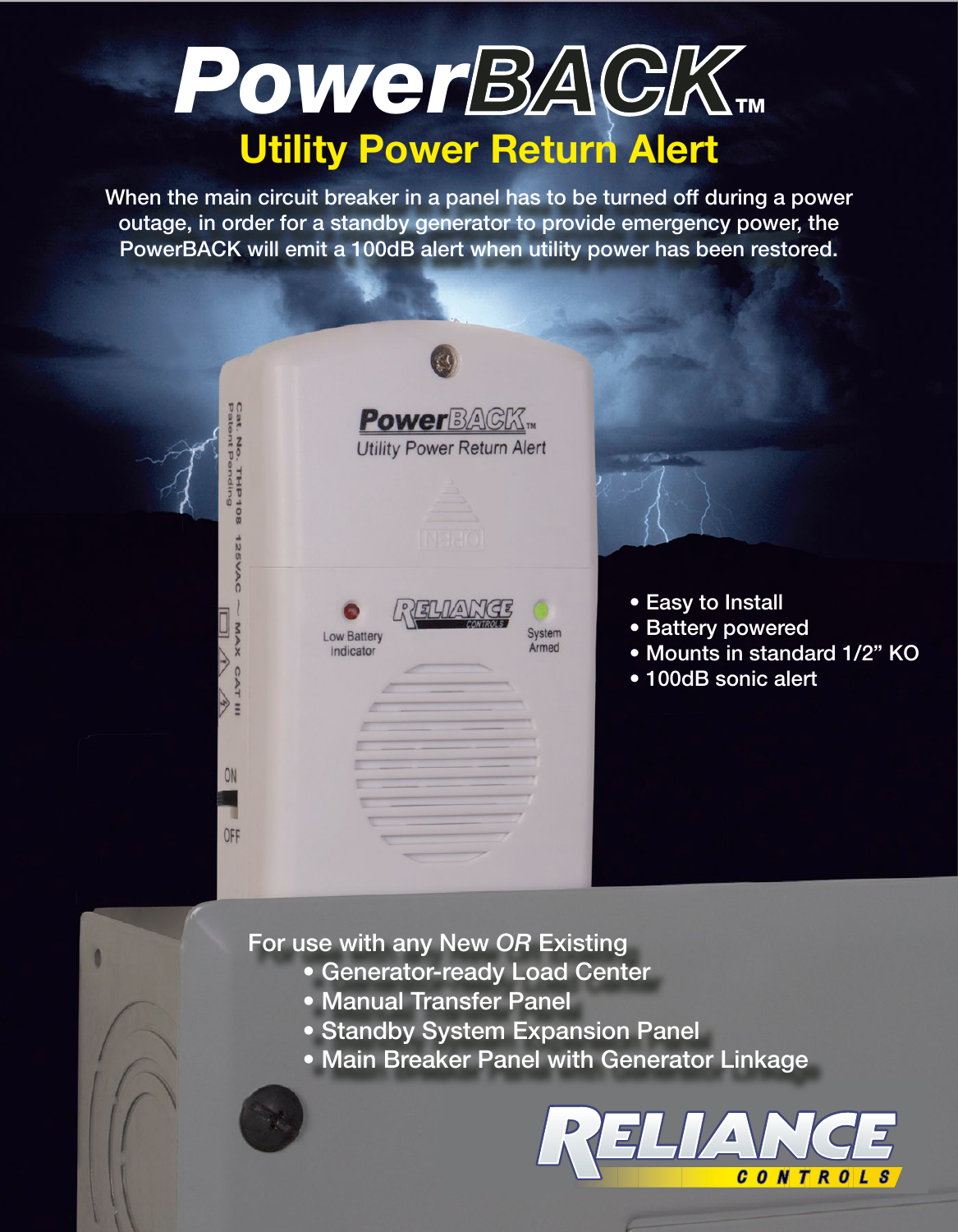## PowerBACK **Utility Power Return Alert**

When the main circuit breaker in a panel has to be turned off during a power outage, in order for a standby generator to provide emergency power, the PowerBACK will emit a 100dB alert when utility power has been restored.



## For use with any New *OR* Existing

- Generator-ready Load Center
- Manual Transfer Panel
- Standby System Expansion Panel
- Main Breaker Panel with Generator Linkage